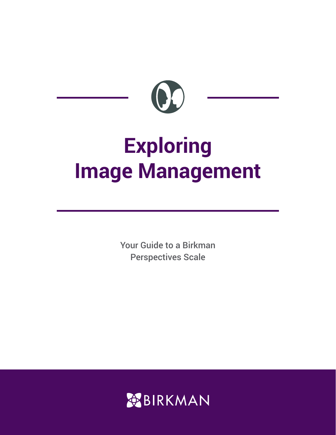

# **Exploring Image Management**

Your Guide to a Birkman Perspectives Scale

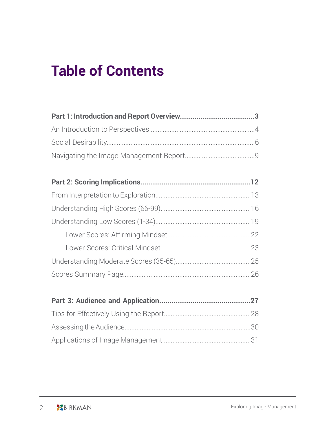# **Table of Contents**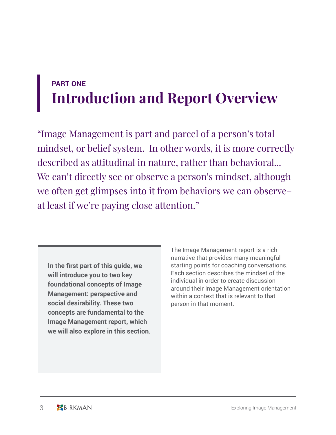# **PART ONE Introduction and Report Overview**

"Image Management is part and parcel of a person's total mindset, or belief system. In other words, it is more correctly described as attitudinal in nature, rather than behavioral... We can't directly see or observe a person's mindset, although we often get glimpses into it from behaviors we can observe– at least if we're paying close attention."

**In the first part of this guide, we will introduce you to two key foundational concepts of Image Management: perspective and social desirability. These two concepts are fundamental to the Image Management report, which we will also explore in this section.** The Image Management report is a rich narrative that provides many meaningful starting points for coaching conversations. Each section describes the mindset of the individual in order to create discussion around their Image Management orientation within a context that is relevant to that person in that moment.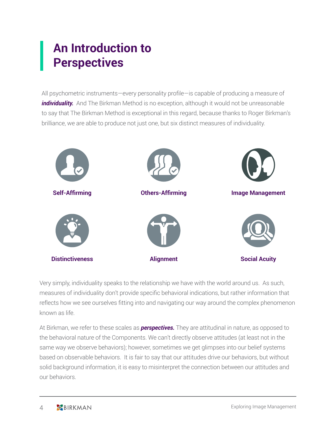# **An Introduction to Perspectives**

All psychometric instruments—every personality profile—is capable of producing a measure of *individuality.* And The Birkman Method is no exception, although it would not be unreasonable to say that The Birkman Method is exceptional in this regard, because thanks to Roger Birkman's brilliance, we are able to produce not just one, but six distinct measures of individuality.



Very simply, individuality speaks to the relationship we have with the world around us. As such, measures of individuality don't provide specific behavioral indications, but rather information that reflects how we see ourselves fitting into and navigating our way around the complex phenomenon known as life.

At Birkman, we refer to these scales as *perspectives.* They are attitudinal in nature, as opposed to the behavioral nature of the Components. We can't directly observe attitudes (at least not in the same way we observe behaviors); however, sometimes we get glimpses into our belief systems based on observable behaviors. It is fair to say that our attitudes drive our behaviors, but without solid background information, it is easy to misinterpret the connection between our attitudes and our behaviors.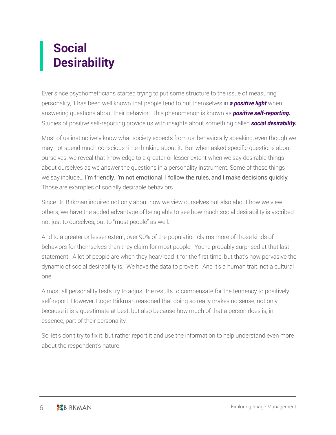# **Social Desirability**

Ever since psychometricians started trying to put some structure to the issue of measuring personality, it has been well known that people tend to put themselves in *a positive light* when answering questions about their behavior. This phenomenon is known as *positive self-reporting.*  Studies of positive self-reporting provide us with insights about something called *social desirability.*

Most of us instinctively know what society expects from us, behaviorally speaking, even though we may not spend much conscious time thinking about it. But when asked specific questions about ourselves, we reveal that knowledge to a greater or lesser extent when we say desirable things about ourselves as we answer the questions in a personality instrument. Some of these things we say include… I'm friendly, I'm not emotional, I follow the rules, and I make decisions quickly. Those are examples of socially desirable behaviors.

Since Dr. Birkman inquired not only about how we view ourselves but also about how we view others, we have the added advantage of being able to see how much social desirability is ascribed not just to ourselves, but to "most people" as well.

And to a greater or lesser extent, over 90% of the population claims more of those kinds of behaviors for themselves than they claim for most people! You're probably surprised at that last statement. A lot of people are when they hear/read it for the first time, but that's how pervasive the dynamic of social desirability is. We have the data to prove it. And it's a human trait, not a cultural one.

Almost all personality tests try to adjust the results to compensate for the tendency to positively self-report. However, Roger Birkman reasoned that doing so really makes no sense, not only because it is a guestimate at best, but also because how much of that a person does is, in essence, part of their personality.

So, let's don't try to fix it; but rather report it and use the information to help understand even more about the respondent's nature.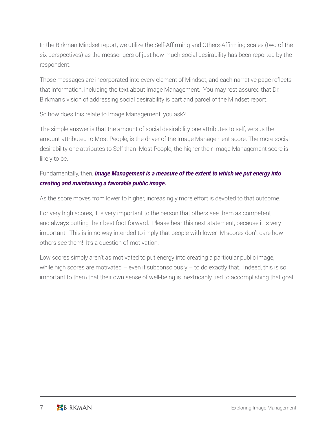In the Birkman Mindset report, we utilize the Self-Affirming and Others-Affirming scales (two of the six perspectives) as the messengers of just how much social desirability has been reported by the respondent.

Those messages are incorporated into every element of Mindset, and each narrative page reflects that information, including the text about Image Management. You may rest assured that Dr. Birkman's vision of addressing social desirability is part and parcel of the Mindset report.

So how does this relate to Image Management, you ask?

The simple answer is that the amount of social desirability one attributes to self, versus the amount attributed to Most People, is the driver of the Image Management score. The more social desirability one attributes to Self than Most People, the higher their Image Management score is likely to be.

### Fundamentally, then, *Image Management is a measure of the extent to which we put energy into creating and maintaining a favorable public image.*

As the score moves from lower to higher, increasingly more effort is devoted to that outcome.

For very high scores, it is very important to the person that others see them as competent and always putting their best foot forward. Please hear this next statement, because it is very important: This is in no way intended to imply that people with lower IM scores don't care how others see them! It's a question of motivation.

Low scores simply aren't as motivated to put energy into creating a particular public image, while high scores are motivated  $-$  even if subconsciously  $-$  to do exactly that. Indeed, this is so important to them that their own sense of well-being is inextricably tied to accomplishing that goal.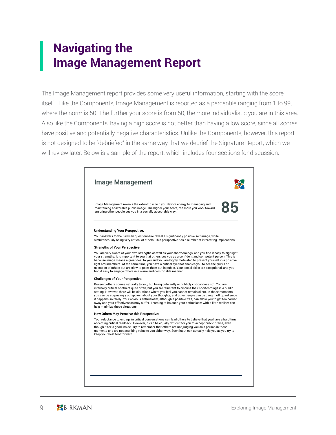# **Navigating the Image Management Report**

The Image Management report provides some very useful information, starting with the score itself. Like the Components, Image Management is reported as a percentile ranging from 1 to 99, where the norm is 50. The further your score is from 50, the more individualistic you are in this area. Also like the Components, having a high score is not better than having a low score, since all scores have positive and potentially negative characteristics. Unlike the Components, however, this report is not designed to be "debriefed" in the same way that we debrief the Signature Report, which we will review later. Below is a sample of the report, which includes four sections for discussion.

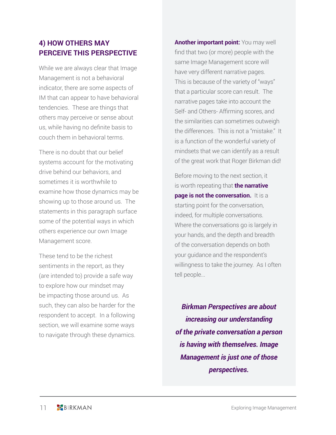### **4) HOW OTHERS MAY PERCEIVE THIS PERSPECTIVE**

While we are always clear that Image Management is not a behavioral indicator, there are some aspects of IM that can appear to have behavioral tendencies. These are things that others may perceive or sense about us, while having no definite basis to couch them in behavioral terms.

There is no doubt that our belief systems account for the motivating drive behind our behaviors, and sometimes it is worthwhile to examine how those dynamics may be showing up to those around us. The statements in this paragraph surface some of the potential ways in which others experience our own Image Management score.

These tend to be the richest sentiments in the report, as they (are intended to) provide a safe way to explore how our mindset may be impacting those around us. As such, they can also be harder for the respondent to accept. In a following section, we will examine some ways to navigate through these dynamics. **Another important point:** You may well find that two (or more) people with the same Image Management score will have very different narrative pages. This is because of the variety of "ways" that a particular score can result. The narrative pages take into account the Self- and Others- Affirming scores, and the similarities can sometimes outweigh the differences. This is not a "mistake." It is a function of the wonderful variety of mindsets that we can identify as a result of the great work that Roger Birkman did!

Before moving to the next section, it is worth repeating that **the narrative page is not the conversation.** It is a starting point for the conversation, indeed, for multiple conversations. Where the conversations go is largely in your hands, and the depth and breadth of the conversation depends on both your guidance and the respondent's willingness to take the journey. As I often tell people...

*Birkman Perspectives are about increasing our understanding of the private conversation a person is having with themselves. Image Management is just one of those perspectives.*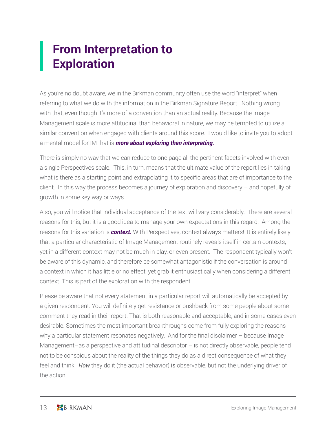# **From Interpretation to Exploration**

As you're no doubt aware, we in the Birkman community often use the word "interpret" when referring to what we do with the information in the Birkman Signature Report. Nothing wrong with that, even though it's more of a convention than an actual reality. Because the Image Management scale is more attitudinal than behavioral in nature, we may be tempted to utilize a similar convention when engaged with clients around this score. I would like to invite you to adopt a mental model for IM that is *more about exploring than interpreting.* 

There is simply no way that we can reduce to one page all the pertinent facets involved with even a single Perspectives scale. This, in turn, means that the ultimate value of the report lies in taking what is there as a starting point and extrapolating it to specific areas that are of importance to the client. In this way the process becomes a journey of exploration and discovery – and hopefully of growth in some key way or ways.

Also, you will notice that individual acceptance of the text will vary considerably. There are several reasons for this, but it is a good idea to manage your own expectations in this regard. Among the reasons for this variation is *context.* With Perspectives, context always matters! It is entirely likely that a particular characteristic of Image Management routinely reveals itself in certain contexts, yet in a different context may not be much in play, or even present. The respondent typically won't be aware of this dynamic, and therefore be somewhat antagonistic if the conversation is around a context in which it has little or no effect, yet grab it enthusiastically when considering a different context. This is part of the exploration with the respondent.

Please be aware that not every statement in a particular report will automatically be accepted by a given respondent. You will definitely get resistance or pushback from some people about some comment they read in their report. That is both reasonable and acceptable, and in some cases even desirable. Sometimes the most important breakthroughs come from fully exploring the reasons why a particular statement resonates negatively. And for the final disclaimer – because Image Management–as a perspective and attitudinal descriptor – is not directly observable, people tend not to be conscious about the reality of the things they do as a direct consequence of what they feel and think. *How* they do it (the actual behavior) is observable, but not the underlying driver of the action.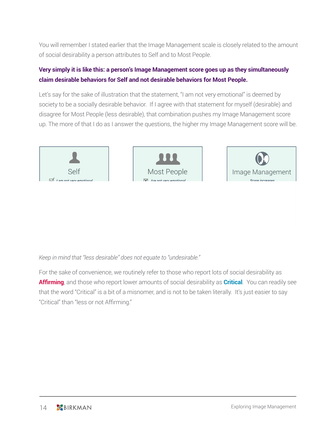You will remember I stated earlier that the Image Management scale is closely related to the amount of social desirability a person attributes to Self and to Most People.

### **Very simply it is like this: a person's Image Management score goes up as they simultaneously claim desirable behaviors for Self and not desirable behaviors for Most People.**

Let's say for the sake of illustration that the statement, "I am not very emotional" is deemed by society to be a socially desirable behavior. If I agree with that statement for myself (desirable) and disagree for Most People (less desirable), that combination pushes my Image Management score up. The more of that I do as I answer the questions, the higher my Image Management score will be.

*Keep in mind that "less desirable" does not equate to "undesirable."* 

For the sake of convenience, we routinely refer to those who report lots of social desirability as **Affirming**, and those who report lower amounts of social desirability as **Critical**. You can readily see that the word "Critical" is a bit of a misnomer, and is not to be taken literally. It's just easier to say "Critical" than "less or not Affirming."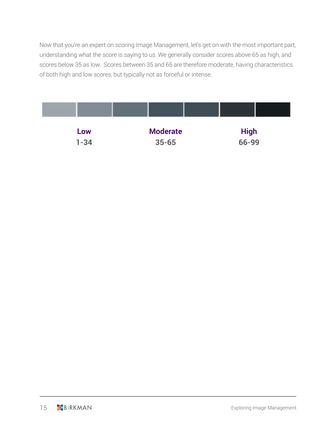Now that you're an expert on scoring Image Management, let's get on with the most important part, understanding what the score is saying to us. We generally consider scores above 65 as high, and scores below 35 as low. Scores between 35 and 65 are therefore moderate, having characteristics of both high and low scores, but typically not as forceful or intense.

| Low      | <b>Moderate</b> | <b>High</b> |
|----------|-----------------|-------------|
| $1 - 34$ | $35 - 65$       | 66-99       |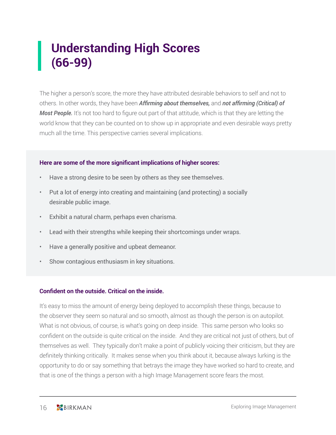# **Understanding High Scores (66-99)**

The higher a person's score, the more they have attributed desirable behaviors to self and not to others. In other words, they have been *Affirming about themselves,* and *not affirming (Critical) of Most People.* It's not too hard to figure out part of that attitude, which is that they are letting the world know that they can be counted on to show up in appropriate and even desirable ways pretty much all the time. This perspective carries several implications.

#### **Here are some of the more significant implications of higher scores:**

- Have a strong desire to be seen by others as they see themselves.
- Put a lot of energy into creating and maintaining (and protecting) a socially desirable public image.
- Exhibit a natural charm, perhaps even charisma.
- Lead with their strengths while keeping their shortcomings under wraps.
- Have a generally positive and upbeat demeanor.
- Show contagious enthusiasm in key situations.

#### **Confident on the outside. Critical on the inside.**

It's easy to miss the amount of energy being deployed to accomplish these things, because to the observer they seem so natural and so smooth, almost as though the person is on autopilot. What is not obvious, of course, is what's going on deep inside. This same person who looks so confident on the outside is quite critical on the inside. And they are critical not just of others, but of themselves as well. They typically don't make a point of publicly voicing their criticism, but they are definitely thinking critically. It makes sense when you think about it, because always lurking is the opportunity to do or say something that betrays the image they have worked so hard to create, and that is one of the things a person with a high Image Management score fears the most.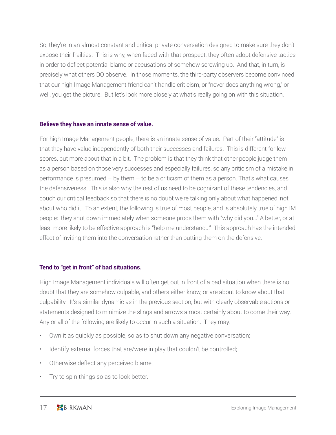So, they're in an almost constant and critical private conversation designed to make sure they don't expose their frailties. This is why, when faced with that prospect, they often adopt defensive tactics in order to deflect potential blame or accusations of somehow screwing up. And that, in turn, is precisely what others DO observe. In those moments, the third-party observers become convinced that our high Image Management friend can't handle criticism, or "never does anything wrong," or well, you get the picture. But let's look more closely at what's really going on with this situation.

#### **Believe they have an innate sense of value.**

For high Image Management people, there is an innate sense of value. Part of their "attitude" is that they have value independently of both their successes and failures. This is different for low scores, but more about that in a bit. The problem is that they think that other people judge them as a person based on those very successes and especially failures, so any criticism of a mistake in performance is presumed  $-$  by them  $-$  to be a criticism of them as a person. That's what causes the defensiveness. This is also why the rest of us need to be cognizant of these tendencies, and couch our critical feedback so that there is no doubt we're talking only about what happened, not about who did it. To an extent, the following is true of most people, and is absolutely true of high IM people: they shut down immediately when someone prods them with "why did you..." A better, or at least more likely to be effective approach is "help me understand..." This approach has the intended effect of inviting them into the conversation rather than putting them on the defensive.

#### **Tend to "get in front" of bad situations.**

High Image Management individuals will often get out in front of a bad situation when there is no doubt that they are somehow culpable, and others either know, or are about to know about that culpability. It's a similar dynamic as in the previous section, but with clearly observable actions or statements designed to minimize the slings and arrows almost certainly about to come their way. Any or all of the following are likely to occur in such a situation: They may:

- Own it as quickly as possible, so as to shut down any negative conversation;
- Identify external forces that are/were in play that couldn't be controlled;
- Otherwise deflect any perceived blame;
- Try to spin things so as to look better.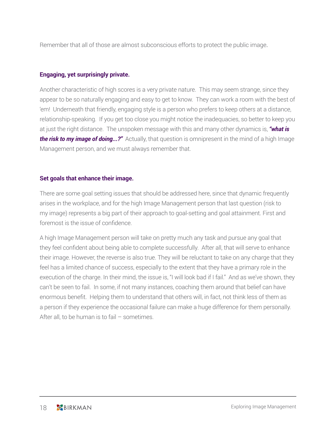Remember that all of those are almost subconscious efforts to protect the public image.

#### **Engaging, yet surprisingly private.**

Another characteristic of high scores is a very private nature. This may seem strange, since they appear to be so naturally engaging and easy to get to know. They can work a room with the best of 'em! Underneath that friendly, engaging style is a person who prefers to keep others at a distance, relationship-speaking. If you get too close you might notice the inadequacies, so better to keep you at just the right distance. The unspoken message with this and many other dynamics is, *"what is the risk to my image of doing...?"* Actually, that question is omnipresent in the mind of a high Image Management person, and we must always remember that.

#### **Set goals that enhance their image.**

There are some goal setting issues that should be addressed here, since that dynamic frequently arises in the workplace, and for the high Image Management person that last question (risk to my image) represents a big part of their approach to goal-setting and goal attainment. First and foremost is the issue of confidence.

A high Image Management person will take on pretty much any task and pursue any goal that they feel confident about being able to complete successfully. After all, that will serve to enhance their image. However, the reverse is also true. They will be reluctant to take on any charge that they feel has a limited chance of success, especially to the extent that they have a primary role in the execution of the charge. In their mind, the issue is, "I will look bad if I fail." And as we've shown, they can't be seen to fail. In some, if not many instances, coaching them around that belief can have enormous benefit. Helping them to understand that others will, in fact, not think less of them as a person if they experience the occasional failure can make a huge difference for them personally. After all, to be human is to fail – sometimes.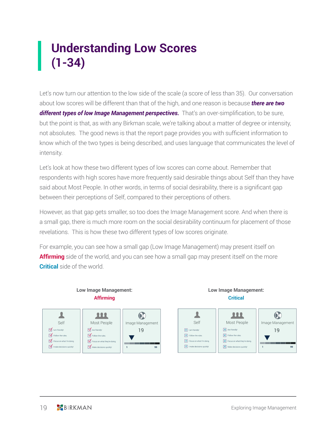# **Understanding Low Scores (1-34)**

Let's now turn our attention to the low side of the scale (a score of less than 35). Our conversation about low scores will be different than that of the high, and one reason is because *there are two*  different types of low *Image Management perspectives.* That's an over-simplification, to be sure, but the point is that, as with any Birkman scale, we're talking about a matter of degree or intensity, not absolutes. The good news is that the report page provides you with sufficient information to know which of the two types is being described, and uses language that communicates the level of intensity.

Let's look at how these two different types of low scores can come about. Remember that respondents with high scores have more frequently said desirable things about Self than they have said about Most People. In other words, in terms of social desirability, there is a significant gap between their perceptions of Self, compared to their perceptions of others.

However, as that gap gets smaller, so too does the Image Management score. And when there is a small gap, there is much more room on the social desirability continuum for placement of those revelations. This is how these two different types of low scores originate.

For example, you can see how a small gap (Low Image Management) may present itself on **Affirming** side of the world, and you can see how a small gap may present itself on the more **Critical** side of the world.



# **Low Image Management:**

**Low Image Management:**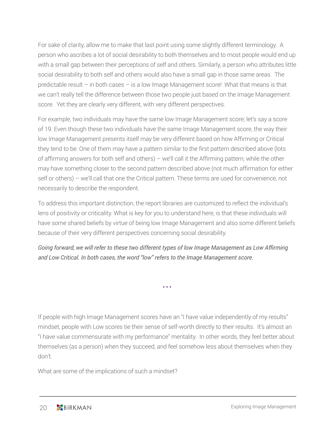For sake of clarity, allow me to make that last point using some slightly different terminology. A person who ascribes a lot of social desirability to both themselves and to most people would end up with a small gap between their perceptions of self and others. Similarly, a person who attributes little social desirability to both self and others would also have a small gap in those same areas. The predictable result – in both cases – is a low Image Management score! What that means is that we can't really tell the difference between those two people just based on the Image Management score. Yet they are clearly very different, with very different perspectives.

For example, two individuals may have the same low Image Management score; let's say a score of 19. Even though these two individuals have the same Image Management score, the way their low Image Management presents itself may be very different based on how Affirming or Critical they tend to be. One of them may have a pattern similar to the first pattern described above (lots of affirming answers for both self and others) – we'll call it the Affirming pattern; while the other may have something closer to the second pattern described above (not much affirmation for either self or others) – we'll call that one the Critical pattern. These terms are used for convenience, not necessarily to describe the respondent.

To address this important distinction, the report libraries are customized to reflect the individual's lens of positivity or criticality. What is key for you to understand here, is that these individuals will have some shared beliefs by virtue of being low Image Management and also some different beliefs because of their very different perspectives concerning social desirability.

*Going forward, we will refer to these two different types of low Image Management as Low Affirming and Low Critical. In both cases, the word "low" refers to the Image Management score.*

• • •

If people with high Image Management scores have an "I have value independently of my results" mindset, people with Low scores tie their sense of self-worth directly to their results. It's almost an "I have value commensurate with my performance" mentality. In other words, they feel better about themselves (as a person) when they succeed, and feel somehow less about themselves when they don't.

What are some of the implications of such a mindset?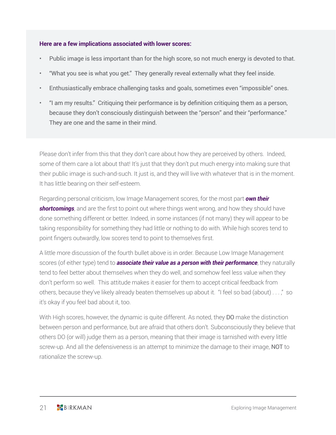#### **Here are a few implications associated with lower scores:**

- Public image is less important than for the high score, so not much energy is devoted to that.
- "What you see is what you get." They generally reveal externally what they feel inside.
- Enthusiastically embrace challenging tasks and goals, sometimes even "impossible" ones.
- "I am my results." Critiquing their performance is by definition critiquing them as a person, because they don't consciously distinguish between the "person" and their "performance." They are one and the same in their mind.

Please don't infer from this that they don't care about how they are perceived by others. Indeed, some of them care a lot about that! It's just that they don't put much energy into making sure that their public image is such-and-such. It just is, and they will live with whatever that is in the moment. It has little bearing on their self-esteem.

Regarding personal criticism, low Image Management scores, for the most part *own their shortcomings*, and are the first to point out where things went wrong, and how they should have done something different or better. Indeed, in some instances (if not many) they will appear to be taking responsibility for something they had little or nothing to do with. While high scores tend to point fingers outwardly, low scores tend to point to themselves first.

A little more discussion of the fourth bullet above is in order. Because Low Image Management scores (of either type) tend to *associate their value as a person with their performance*, they naturally tend to feel better about themselves when they do well, and somehow feel less value when they don't perform so well. This attitude makes it easier for them to accept critical feedback from others, because they've likely already beaten themselves up about it. "I feel so bad (about) . . . ," so it's okay if you feel bad about it, too.

With High scores, however, the dynamic is quite different. As noted, they DO make the distinction between person and performance, but are afraid that others don't. Subconsciously they believe that others DO (or will) judge them as a person, meaning that their image is tarnished with every little screw-up. And all the defensiveness is an attempt to minimize the damage to their image, NOT to rationalize the screw-up.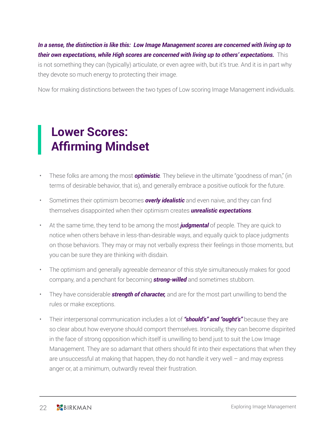*In a sense, the distinction is like this: Low Image Management scores are concerned with living up to their own expectations, while High scores are concerned with living up to others' expectations.* This is not something they can (typically) articulate, or even agree with, but it's true. And it is in part why they devote so much energy to protecting their image.

Now for making distinctions between the two types of Low scoring Image Management individuals.

### **Lower Scores: Affirming Mindset**

- These folks are among the most *optimistic*. They believe in the ultimate "goodness of man," (in terms of desirable behavior, that is), and generally embrace a positive outlook for the future.
- Sometimes their optimism becomes *overly idealistic* and even naive, and they can find themselves disappointed when their optimism creates *unrealistic expectations*.
- At the same time, they tend to be among the most *judgmental* of people. They are quick to notice when others behave in less-than-desirable ways, and equally quick to place judgments on those behaviors. They may or may not verbally express their feelings in those moments, but you can be sure they are thinking with disdain.
- The optimism and generally agreeable demeanor of this style simultaneously makes for good company, and a penchant for becoming *strong-willed* and sometimes stubborn.
- They have considerable *strength of character,* and are for the most part unwilling to bend the rules or make exceptions.
- Their interpersonal communication includes a lot of *"should's" and "ought's"* because they are so clear about how everyone should comport themselves. Ironically, they can become dispirited in the face of strong opposition which itself is unwilling to bend just to suit the Low Image Management. They are so adamant that others should fit into their expectations that when they are unsuccessful at making that happen, they do not handle it very well – and may express anger or, at a minimum, outwardly reveal their frustration.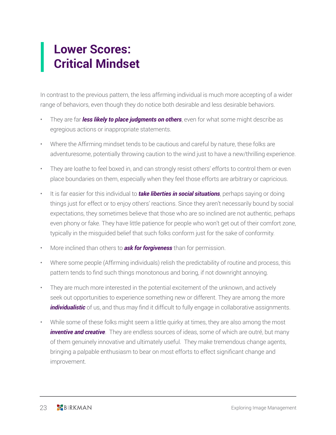# **Lower Scores: Critical Mindset**

In contrast to the previous pattern, the less affirming individual is much more accepting of a wider range of behaviors, even though they do notice both desirable and less desirable behaviors.

- They are far *less likely to place judgments on others*, even for what some might describe as egregious actions or inappropriate statements.
- Where the Affirming mindset tends to be cautious and careful by nature, these folks are adventuresome, potentially throwing caution to the wind just to have a new/thrilling experience.
- They are loathe to feel boxed in, and can strongly resist others' efforts to control them or even place boundaries on them, especially when they feel those efforts are arbitrary or capricious.
- It is far easier for this individual to *take liberties in social situations*, perhaps saying or doing things just for effect or to enjoy others' reactions. Since they aren't necessarily bound by social expectations, they sometimes believe that those who are so inclined are not authentic, perhaps even phony or fake. They have little patience for people who won't get out of their comfort zone, typically in the misguided belief that such folks conform just for the sake of conformity.
- More inclined than others to *ask for forgiveness* than for permission.
- Where some people (Affirming individuals) relish the predictability of routine and process, this pattern tends to find such things monotonous and boring, if not downright annoying.
- They are much more interested in the potential excitement of the unknown, and actively seek out opportunities to experience something new or different. They are among the more *individualistic* of us, and thus may find it difficult to fully engage in collaborative assignments.
- While some of these folks might seem a little quirky at times, they are also among the most *inventive and creative*. They are endless sources of ideas, some of which are outré, but many of them genuinely innovative and ultimately useful. They make tremendous change agents, bringing a palpable enthusiasm to bear on most efforts to effect significant change and improvement.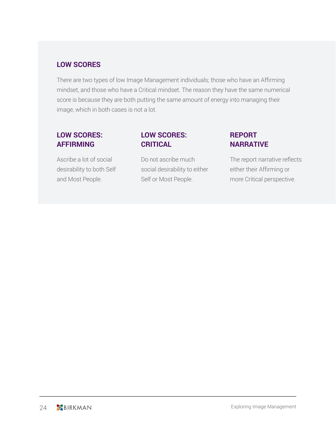### **LOW SCORES**

There are two types of low Image Management individuals; those who have an Affirming mindset, and those who have a Critical mindset. The reason they have the same numerical score is because they are both putting the same amount of energy into managing their image, which in both cases is not a lot.

### **LOW SCORES: AFFIRMING**

### Ascribe a lot of social desirability to both Self and Most People.

### **LOW SCORES: CRITICAL**

Do not ascribe much social desirability to either Self or Most People.

### **REPORT NARRATIVE**

The report narrative reflects either their Affirming or more Critical perspective.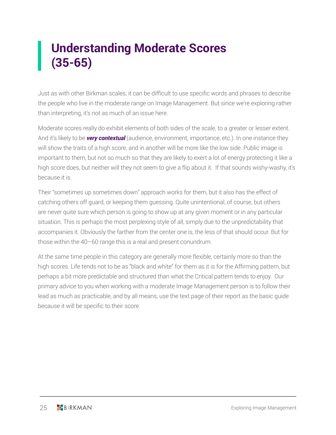# **Understanding Moderate Scores (35-65)**

Just as with other Birkman scales, it can be difficult to use specific words and phrases to describe the people who live in the moderate range on Image Management. But since we're exploring rather than interpreting, it's not as much of an issue here.

Moderate scores really do exhibit elements of both sides of the scale, to a greater or lesser extent. And it's likely to be *very contextual* (audience, environment, importance, etc.). In one instance they will show the traits of a high score, and in another will be more like the low side. Public image is important to them, but not so much so that they are likely to exert a lot of energy protecting it like a high score does, but neither will they not seem to give a flip about it. If that sounds wishy-washy, it's because it is.

Their "sometimes up sometimes down" approach works for them, but it also has the effect of catching others off guard, or keeping them guessing. Quite unintentional, of course, but others are never quite sure which person is going to show up at any given moment or in any particular situation. This is perhaps the most perplexing style of all, simply due to the unpredictability that accompanies it. Obviously the farther from the center one is, the less of that should occur. But for those within the 40–60 range this is a real and present conundrum.

At the same time people in this category are generally more flexible, certainly more so than the high scores. Life tends not to be as "black and white" for them as it is for the Affirming pattern, but perhaps a bit more predictable and structured than what the Critical pattern tends to enjoy. Our primary advice to you when working with a moderate Image Management person is to follow their lead as much as practicable, and by all means, use the text page of their report as the basic guide because it will be specific to their score.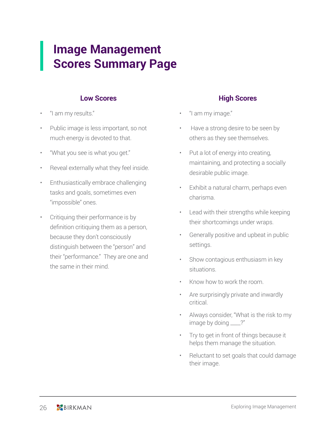### **Image Management Scores Summary Page**

#### **Low Scores**

- "I am my results."
- Public image is less important, so not much energy is devoted to that.
- "What you see is what you get."
- Reveal externally what they feel inside.
- Enthusiastically embrace challenging tasks and goals, sometimes even "impossible" ones.
- Critiquing their performance is by definition critiquing them as a person, because they don't consciously distinguish between the "person" and their "performance." They are one and the same in their mind.

#### **High Scores**

- "I am my image."
- Have a strong desire to be seen by others as they see themselves.
- Put a lot of energy into creating, maintaining, and protecting a socially desirable public image.
- Exhibit a natural charm, perhaps even charisma.
- Lead with their strengths while keeping their shortcomings under wraps.
- Generally positive and upbeat in public settings.
- Show contagious enthusiasm in key situations.
- Know how to work the room.
- Are surprisingly private and inwardly critical.
- Always consider, "What is the risk to my image by doing \_\_\_\_?"
- Try to get in front of things because it helps them manage the situation.
- Reluctant to set goals that could damage their image.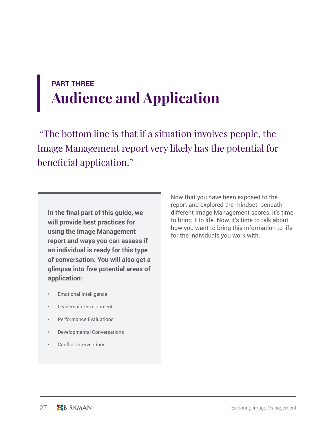# **PART THREE Audience and Application**

 "The bottom line is that if a situation involves people, the Image Management report very likely has the potential for beneficial application."

**In the final part of this guide, we will provide best practices for using the Image Management report and ways you can assess if an individual is ready for this type of conversation. You will also get a glimpse into five potential areas of application:**

Now that you have been exposed to the report and explored the mindset beneath different Image Management scores, it's time to bring it to life. Now, it's time to talk about how you want to bring this information to life for the individuals you work with.

- Emotional Intelligence
- Leadership Development
- Performance Evaluations
- Developmental Conversations
- Conflict Interventions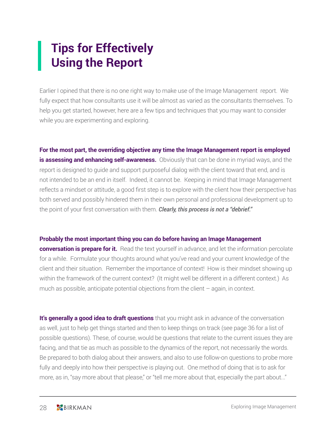# **Tips for Effectively Using the Report**

Earlier I opined that there is no one right way to make use of the Image Management report. We fully expect that how consultants use it will be almost as varied as the consultants themselves. To help you get started, however, here are a few tips and techniques that you may want to consider while you are experimenting and exploring.

**For the most part, the overriding objective any time the Image Management report is employed is assessing and enhancing self-awareness.** Obviously that can be done in myriad ways, and the report is designed to guide and support purposeful dialog with the client toward that end, and is not intended to be an end in itself. Indeed, it cannot be. Keeping in mind that Image Management reflects a mindset or attitude, a good first step is to explore with the client how their perspective has both served and possibly hindered them in their own personal and professional development up to the point of your first conversation with them. *Clearly, this process is not a "debrief."*

#### **Probably the most important thing you can do before having an Image Management**

**conversation is prepare for it.** Read the text yourself in advance, and let the information percolate for a while. Formulate your thoughts around what you've read and your current knowledge of the client and their situation. Remember the importance of context! How is their mindset showing up within the framework of the current context? (It might well be different in a different context.) As much as possible, anticipate potential objections from the client  $-$  again, in context.

**It's generally a good idea to draft questions** that you might ask in advance of the conversation as well, just to help get things started and then to keep things on track (see page 36 for a list of possible questions). These, of course, would be questions that relate to the current issues they are facing, and that tie as much as possible to the dynamics of the report, not necessarily the words. Be prepared to both dialog about their answers, and also to use follow-on questions to probe more fully and deeply into how their perspective is playing out. One method of doing that is to ask for more, as in, "say more about that please," or "tell me more about that, especially the part about..."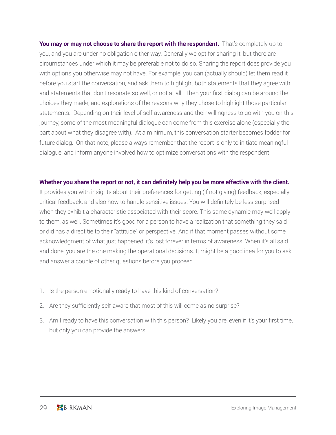You may or may not choose to share the report with the respondent. That's completely up to you, and you are under no obligation either way. Generally we opt for sharing it, but there are circumstances under which it may be preferable not to do so. Sharing the report does provide you with options you otherwise may not have. For example, you can (actually should) let them read it before you start the conversation, and ask them to highlight both statements that they agree with and statements that don't resonate so well, or not at all. Then your first dialog can be around the choices they made, and explorations of the reasons why they chose to highlight those particular statements. Depending on their level of self-awareness and their willingness to go with you on this journey, some of the most meaningful dialogue can come from this exercise alone (especially the part about what they disagree with). At a minimum, this conversation starter becomes fodder for future dialog. On that note, please always remember that the report is only to initiate meaningful dialogue, and inform anyone involved how to optimize conversations with the respondent.

#### **Whether you share the report or not, it can definitely help you be more effective with the client.**

It provides you with insights about their preferences for getting (if not giving) feedback, especially critical feedback, and also how to handle sensitive issues. You will definitely be less surprised when they exhibit a characteristic associated with their score. This same dynamic may well apply to them, as well. Sometimes it's good for a person to have a realization that something they said or did has a direct tie to their "attitude" or perspective. And if that moment passes without some acknowledgment of what just happened, it's lost forever in terms of awareness. When it's all said and done, you are the one making the operational decisions. It might be a good idea for you to ask and answer a couple of other questions before you proceed.

- 1. Is the person emotionally ready to have this kind of conversation?
- 2. Are they sufficiently self-aware that most of this will come as no surprise?
- 3. Am I ready to have this conversation with this person? Likely you are, even if it's your first time, but only you can provide the answers.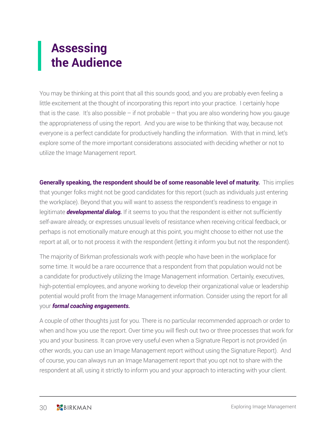# **Assessing the Audience**

You may be thinking at this point that all this sounds good, and you are probably even feeling a little excitement at the thought of incorporating this report into your practice. I certainly hope that is the case. It's also possible  $-$  if not probable  $-$  that you are also wondering how you gauge the appropriateness of using the report. And you are wise to be thinking that way, because not everyone is a perfect candidate for productively handling the information. With that in mind, let's explore some of the more important considerations associated with deciding whether or not to utilize the Image Management report.

**Generally speaking, the respondent should be of some reasonable level of maturity.** This implies that younger folks might not be good candidates for this report (such as individuals just entering the workplace). Beyond that you will want to assess the respondent's readiness to engage in legitimate *developmental dialog.* If it seems to you that the respondent is either not sufficiently self-aware already, or expresses unusual levels of resistance when receiving critical feedback, or perhaps is not emotionally mature enough at this point, you might choose to either not use the report at all, or to not process it with the respondent (letting it inform you but not the respondent).

The majority of Birkman professionals work with people who have been in the workplace for some time. It would be a rare occurrence that a respondent from that population would not be a candidate for productively utilizing the Image Management information. Certainly, executives, high-potential employees, and anyone working to develop their organizational value or leadership potential would profit from the Image Management information. Consider using the report for all your *formal coaching engagements.*

A couple of other thoughts just for you. There is no particular recommended approach or order to when and how you use the report. Over time you will flesh out two or three processes that work for you and your business. It can prove very useful even when a Signature Report is not provided (in other words, you can use an Image Management report without using the Signature Report). And of course, you can always run an Image Management report that you opt not to share with the respondent at all, using it strictly to inform you and your approach to interacting with your client.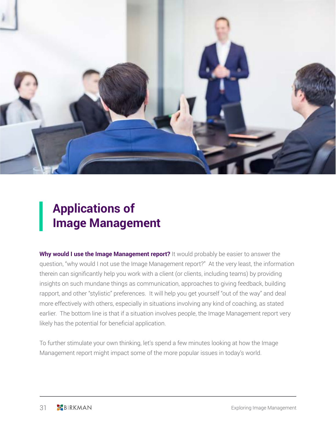

# **Applications of Image Management**

**Why would I use the Image Management report?** It would probably be easier to answer the question, "why would I not use the Image Management report?" At the very least, the information therein can significantly help you work with a client (or clients, including teams) by providing insights on such mundane things as communication, approaches to giving feedback, building rapport, and other "stylistic" preferences. It will help you get yourself "out of the way" and deal more effectively with others, especially in situations involving any kind of coaching, as stated earlier. The bottom line is that if a situation involves people, the Image Management report very likely has the potential for beneficial application.

To further stimulate your own thinking, let's spend a few minutes looking at how the Image Management report might impact some of the more popular issues in today's world.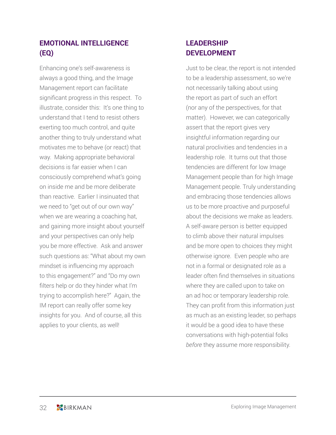### **EMOTIONAL INTELLIGENCE (EQ)**

Enhancing one's self-awareness is always a good thing, and the Image Management report can facilitate significant progress in this respect. To illustrate, consider this: It's one thing to understand that I tend to resist others exerting too much control, and quite another thing to truly understand what motivates me to behave (or react) that way. Making appropriate behavioral decisions is far easier when I can consciously comprehend what's going on inside me and be more deliberate than reactive. Earlier I insinuated that we need to "get out of our own way" when we are wearing a coaching hat, and gaining more insight about yourself and your perspectives can only help you be more effective. Ask and answer such questions as: "What about my own mindset is influencing my approach to this engagement?" and "Do my own filters help or do they hinder what I'm trying to accomplish here?" Again, the IM report can really offer some key insights for you. And of course, all this applies to your clients, as well!

### **LEADERSHIP DEVELOPMENT**

Just to be clear, the report is not intended to be a leadership assessment, so we're not necessarily talking about using the report as part of such an effort (nor any of the perspectives, for that matter). However, we can categorically assert that the report gives very insightful information regarding our natural proclivities and tendencies in a leadership role. It turns out that those tendencies are different for low Image Management people than for high Image Management people. Truly understanding and embracing those tendencies allows us to be more proactive and purposeful about the decisions we make as leaders. A self-aware person is better equipped to climb above their natural impulses and be more open to choices they might otherwise ignore. Even people who are not in a formal or designated role as a leader often find themselves in situations where they are called upon to take on an ad hoc or temporary leadership role. They can profit from this information just as much as an existing leader, so perhaps it would be a good idea to have these conversations with high-potential folks *before* they assume more responsibility.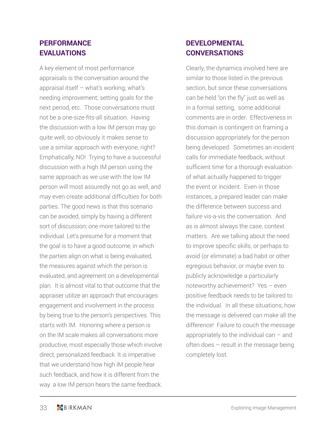### **PERFORMANCE EVALUATIONS**

A key element of most performance appraisals is the conversation around the appraisal itself – what's working; what's needing improvement; setting goals for the next period, etc. Those conversations must not be a one-size-fits-all situation. Having the discussion with a low IM person may go quite well, so obviously it makes sense to use a similar approach with everyone, right? Emphatically, NO! Trying to have a successful discussion with a high IM person using the same approach as we use with the low IM person will most assuredly not go as well, and may even create additional difficulties for both parties. The good news is that this scenario can be avoided, simply by having a different sort of discussion; one more tailored to the individual. Let's presume for a moment that the goal is to have a good outcome, in which the parties align on what is being evaluated, the measures against which the person is evaluated, and agreement on a developmental plan. It is almost vital to that outcome that the appraiser utilize an approach that encourages engagement and involvement in the process by being true to the person's perspectives. This starts with IM. Honoring where a person is on the IM scale makes all conversations more productive, most especially those which involve direct, personalized feedback. It is imperative that we understand how high IM people hear such feedback, and how it is different from the way a low IM person hears the same feedback.

### **DEVELOPMENTAL CONVERSATIONS**

Clearly, the dynamics involved here are similar to those listed in the previous section, but since these conversations can be held "on the fly" just as well as in a formal setting, some additional comments are in order. Effectiveness in this domain is contingent on framing a discussion appropriately for the person being developed. Sometimes an incident calls for immediate feedback, without sufficient time for a thorough evaluation of what actually happened to trigger the event or incident. Even in those instances, a prepared leader can make the difference between success and failure vis-a-vis the conversation. And as is almost always the case, context matters. Are we talking about the need to improve specific skills, or perhaps to avoid (or eliminate) a bad habit or other egregious behavior, or maybe even to publicly acknowledge a particularly noteworthy achievement? Yes – even positive feedback needs to be tailored to the individual. In all these situations, how the message is delivered can make all the difference! Failure to couch the message appropriately to the individual can – and often does – result in the message being completely lost.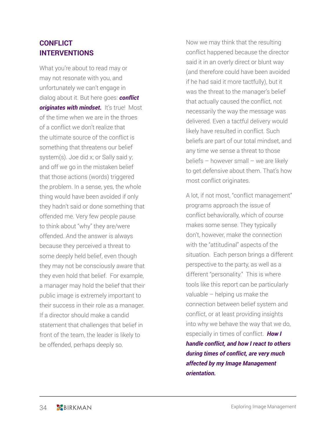### **CONFLICT INTERVENTIONS**

What you're about to read may or may not resonate with you, and unfortunately we can't engage in dialog about it. But here goes: *conflict originates with mindset.* It's true! Most of the time when we are in the throes of a conflict we don't realize that the ultimate source of the conflict is something that threatens our belief system(s). Joe did x; or Sally said y; and off we go in the mistaken belief that those actions (words) triggered the problem. In a sense, yes, the whole thing would have been avoided if only they hadn't said or done something that offended me. Very few people pause to think about "why" they are/were offended. And the answer is always because they perceived a threat to some deeply held belief, even though they may not be consciously aware that they even hold that belief. For example, a manager may hold the belief that their public image is extremely important to their success in their role as a manager. If a director should make a candid statement that challenges that belief in front of the team, the leader is likely to be offended, perhaps deeply so.

Now we may think that the resulting conflict happened because the director said it in an overly direct or blunt way (and therefore could have been avoided if he had said it more tactfully), but it was the threat to the manager's belief that actually caused the conflict, not necessarily the way the message was delivered. Even a tactful delivery would likely have resulted in conflict. Such beliefs are part of our total mindset, and any time we sense a threat to those beliefs – however small – we are likely to get defensive about them. That's how most conflict originates.

A lot, if not most, "conflict management" programs approach the issue of conflict behaviorally, which of course makes some sense. They typically don't, however, make the connection with the "attitudinal" aspects of the situation. Each person brings a different perspective to the party, as well as a different "personality." This is where tools like this report can be particularly valuable – helping us make the connection between belief system and conflict, or at least providing insights into why we behave the way that we do, especially in times of conflict. *How I handle conflict, and how I react to others during times of conflict, are very much affected by my Image Management orientation.*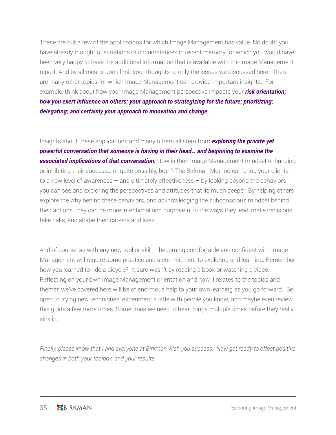These are but a few of the applications for which Image Management has value. No doubt you have already thought of situations or circumstances in recent memory for which you would have been very happy to have the additional information that is available with the Image Management report. And by all means don't limit your thoughts to only the issues we discussed here. There are many other topics for which Image Management can provide important insights. For example, think about how your Image Management perspective impacts your *risk orientation; how you exert influence on others; your approach to strategizing for the future; prioritizing; delegating; and certainly your approach to innovation and change.* 

Insights about these applications and many others all stem from *exploring the private yet powerful conversation that someone is having in their head… and beginning to examine the*  **associated implications of that conversation.** How is their Image Management mindset enhancing or inhibiting their success… or quite possibly, both? The Birkman Method can bring your clients to a new level of awareness – and ultimately effectiveness – by looking beyond the behaviors you can see and exploring the perspectives and attitudes that lie much deeper. By helping others explore the why behind these behaviors, and acknowledging the subconscious mindset behind their actions, they can be more intentional and purposeful in the ways they lead, make decisions, take risks, and shape their careers and lives.

And of course, as with any new tool or skill – becoming comfortable and confident with Image Management will require some practice and a commitment to exploring and learning. Remember how you learned to ride a bicycle? It sure wasn't by reading a book or watching a video. Reflecting on your own Image Management orientation and how it relates to the topics and themes we've covered here will be of enormous help to your own learning as you go forward. Be open to trying new techniques; experiment a little with people you know; and maybe even review this guide a few more times. Sometimes we need to hear things multiple times before they really sink in.

*Finally, please know that I and everyone at Birkman wish you success. Now get ready to effect positive changes in both your toolbox, and your results.*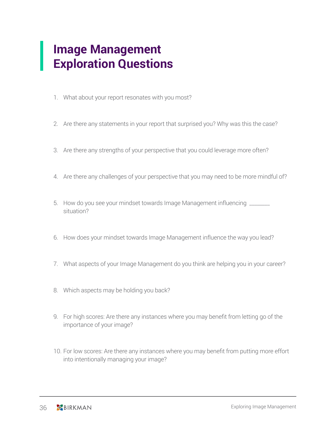### **Image Management Exploration Questions**

- 1. What about your report resonates with you most?
- 2. Are there any statements in your report that surprised you? Why was this the case?
- 3. Are there any strengths of your perspective that you could leverage more often?
- 4. Are there any challenges of your perspective that you may need to be more mindful of?
- 5. How do you see your mindset towards Image Management influencing \_\_\_\_\_\_\_ situation?
- 6. How does your mindset towards Image Management influence the way you lead?
- 7. What aspects of your Image Management do you think are helping you in your career?
- 8. Which aspects may be holding you back?
- 9. For high scores: Are there any instances where you may benefit from letting go of the importance of your image?
- 10. For low scores: Are there any instances where you may benefit from putting more effort into intentionally managing your image?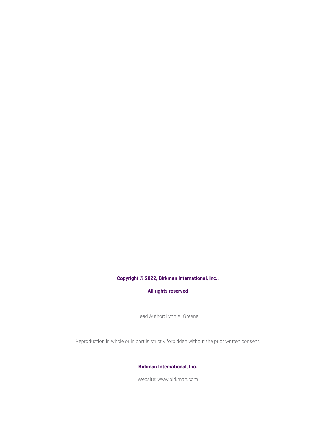#### **Copyright © 2022, Birkman International, Inc.,**

#### **All rights reserved**

Lead Author: Lynn A. Greene

Reproduction in whole or in part is strictly forbidden without the prior written consent.

#### **Birkman International, Inc.**

Website: www.birkman.com